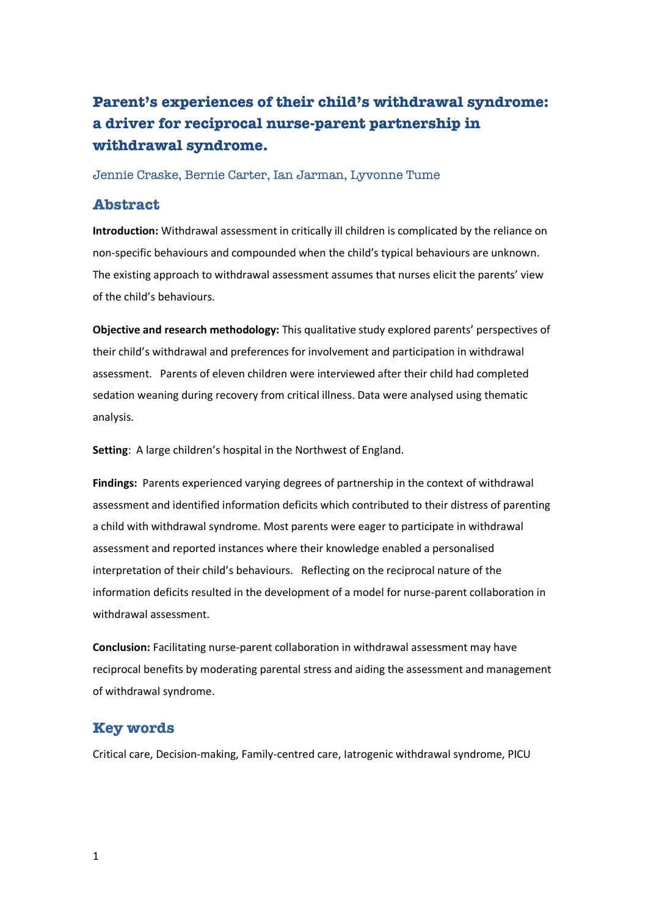# **Parent's experiences of their child's withdrawal syndrome: a driver for reciprocal nurse-parent partnership in withdrawal syndrome.**

Jennie Craske, Bernie Carter, Ian Jarman, Lyvonne Tume

# **Abstract**

**Introduction:** Withdrawal assessment in critically ill children is complicated by the reliance on non-specific behaviours and compounded when the child's typical behaviours are unknown. The existing approach to withdrawal assessment assumes that nurses elicit the parents' view of the child's behaviours.

**Objective and research methodology:** This qualitative study explored parents' perspectives of their child's withdrawal and preferences for involvement and participation in withdrawal assessment. Parents of eleven children were interviewed after their child had completed sedation weaning during recovery from critical illness. Data were analysed using thematic analysis.

**Setting**: A large children's hospital in the Northwest of England.

**Findings:** Parents experienced varying degrees of partnership in the context of withdrawal assessment and identified information deficits which contributed to their distress of parenting a child with withdrawal syndrome. Most parents were eager to participate in withdrawal assessment and reported instances where their knowledge enabled a personalised interpretation of their child's behaviours. Reflecting on the reciprocal nature of the information deficits resulted in the development of a model for nurse-parent collaboration in withdrawal assessment.

**Conclusion:** Facilitating nurse-parent collaboration in withdrawal assessment may have reciprocal benefits by moderating parental stress and aiding the assessment and management of withdrawal syndrome.

# **Key words**

Critical care, Decision-making, Family-centred care, Iatrogenic withdrawal syndrome, PICU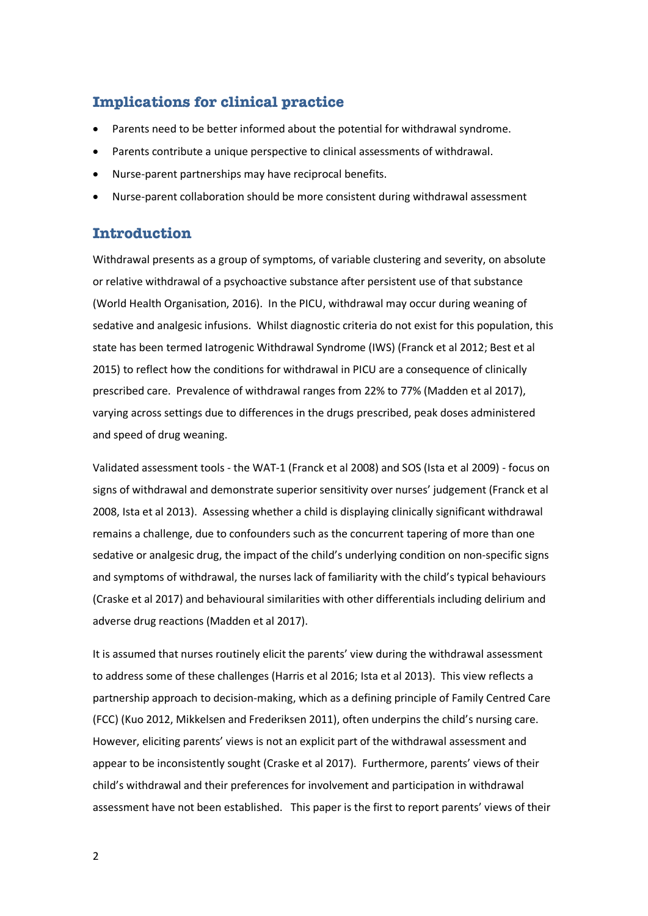# **Implications for clinical practice**

- Parents need to be better informed about the potential for withdrawal syndrome.
- Parents contribute a unique perspective to clinical assessments of withdrawal.
- Nurse-parent partnerships may have reciprocal benefits.
- Nurse-parent collaboration should be more consistent during withdrawal assessment

# **Introduction**

Withdrawal presents as a group of symptoms, of variable clustering and severity, on absolute or relative withdrawal of a psychoactive substance after persistent use of that substance (World Health Organisation, 2016). In the PICU, withdrawal may occur during weaning of sedative and analgesic infusions. Whilst diagnostic criteria do not exist for this population, this state has been termed Iatrogenic Withdrawal Syndrome (IWS) (Franck et al 2012; Best et al 2015) to reflect how the conditions for withdrawal in PICU are a consequence of clinically prescribed care. Prevalence of withdrawal ranges from 22% to 77% (Madden et al 2017), varying across settings due to differences in the drugs prescribed, peak doses administered and speed of drug weaning.

Validated assessment tools - the WAT-1 (Franck et al 2008) and SOS (Ista et al 2009) - focus on signs of withdrawal and demonstrate superior sensitivity over nurses' judgement (Franck et al 2008, Ista et al 2013). Assessing whether a child is displaying clinically significant withdrawal remains a challenge, due to confounders such as the concurrent tapering of more than one sedative or analgesic drug, the impact of the child's underlying condition on non-specific signs and symptoms of withdrawal, the nurses lack of familiarity with the child's typical behaviours (Craske et al 2017) and behavioural similarities with other differentials including delirium and adverse drug reactions (Madden et al 2017).

It is assumed that nurses routinely elicit the parents' view during the withdrawal assessment to address some of these challenges (Harris et al 2016; Ista et al 2013). This view reflects a partnership approach to decision-making, which as a defining principle of Family Centred Care (FCC) (Kuo 2012, Mikkelsen and Frederiksen 2011), often underpins the child's nursing care. However, eliciting parents' views is not an explicit part of the withdrawal assessment and appear to be inconsistently sought (Craske et al 2017). Furthermore, parents' views of their child's withdrawal and their preferences for involvement and participation in withdrawal assessment have not been established. This paper is the first to report parents' views of their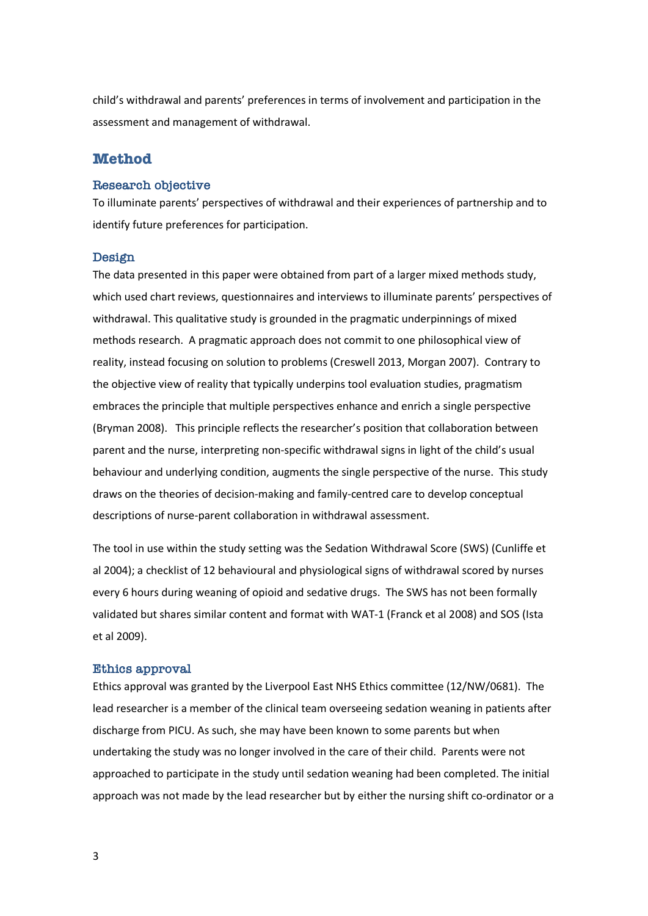child's withdrawal and parents' preferences in terms of involvement and participation in the assessment and management of withdrawal.

# **Method**

#### **Research objective**

To illuminate parents' perspectives of withdrawal and their experiences of partnership and to identify future preferences for participation.

#### **Design**

The data presented in this paper were obtained from part of a larger mixed methods study, which used chart reviews, questionnaires and interviews to illuminate parents' perspectives of withdrawal. This qualitative study is grounded in the pragmatic underpinnings of mixed methods research. A pragmatic approach does not commit to one philosophical view of reality, instead focusing on solution to problems (Creswell 2013, Morgan 2007). Contrary to the objective view of reality that typically underpins tool evaluation studies, pragmatism embraces the principle that multiple perspectives enhance and enrich a single perspective (Bryman 2008). This principle reflects the researcher's position that collaboration between parent and the nurse, interpreting non-specific withdrawal signs in light of the child's usual behaviour and underlying condition, augments the single perspective of the nurse. This study draws on the theories of decision-making and family-centred care to develop conceptual descriptions of nurse-parent collaboration in withdrawal assessment.

The tool in use within the study setting was the Sedation Withdrawal Score (SWS) (Cunliffe et al 2004); a checklist of 12 behavioural and physiological signs of withdrawal scored by nurses every 6 hours during weaning of opioid and sedative drugs. The SWS has not been formally validated but shares similar content and format with WAT-1 (Franck et al 2008) and SOS (Ista et al 2009).

#### **Ethics approval**

Ethics approval was granted by the Liverpool East NHS Ethics committee (12/NW/0681). The lead researcher is a member of the clinical team overseeing sedation weaning in patients after discharge from PICU. As such, she may have been known to some parents but when undertaking the study was no longer involved in the care of their child. Parents were not approached to participate in the study until sedation weaning had been completed. The initial approach was not made by the lead researcher but by either the nursing shift co-ordinator or a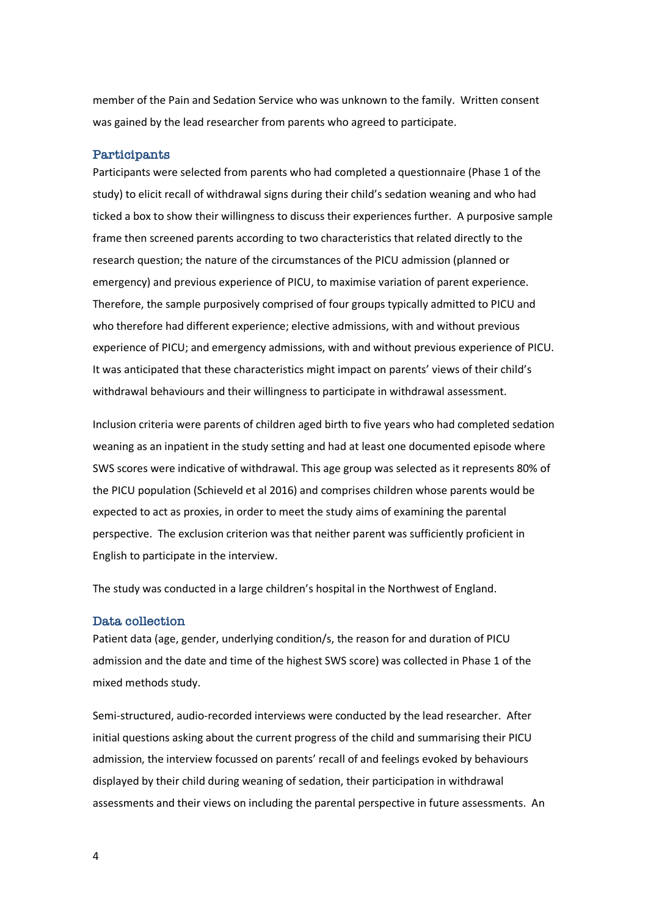member of the Pain and Sedation Service who was unknown to the family. Written consent was gained by the lead researcher from parents who agreed to participate.

#### **Participants**

Participants were selected from parents who had completed a questionnaire (Phase 1 of the study) to elicit recall of withdrawal signs during their child's sedation weaning and who had ticked a box to show their willingness to discuss their experiences further. A purposive sample frame then screened parents according to two characteristics that related directly to the research question; the nature of the circumstances of the PICU admission (planned or emergency) and previous experience of PICU, to maximise variation of parent experience. Therefore, the sample purposively comprised of four groups typically admitted to PICU and who therefore had different experience; elective admissions, with and without previous experience of PICU; and emergency admissions, with and without previous experience of PICU. It was anticipated that these characteristics might impact on parents' views of their child's withdrawal behaviours and their willingness to participate in withdrawal assessment.

Inclusion criteria were parents of children aged birth to five years who had completed sedation weaning as an inpatient in the study setting and had at least one documented episode where SWS scores were indicative of withdrawal. This age group was selected as it represents 80% of the PICU population (Schieveld et al 2016) and comprises children whose parents would be expected to act as proxies, in order to meet the study aims of examining the parental perspective. The exclusion criterion was that neither parent was sufficiently proficient in English to participate in the interview.

The study was conducted in a large children's hospital in the Northwest of England.

#### **Data collection**

Patient data (age, gender, underlying condition/s, the reason for and duration of PICU admission and the date and time of the highest SWS score) was collected in Phase 1 of the mixed methods study.

Semi-structured, audio-recorded interviews were conducted by the lead researcher. After initial questions asking about the current progress of the child and summarising their PICU admission, the interview focussed on parents' recall of and feelings evoked by behaviours displayed by their child during weaning of sedation, their participation in withdrawal assessments and their views on including the parental perspective in future assessments. An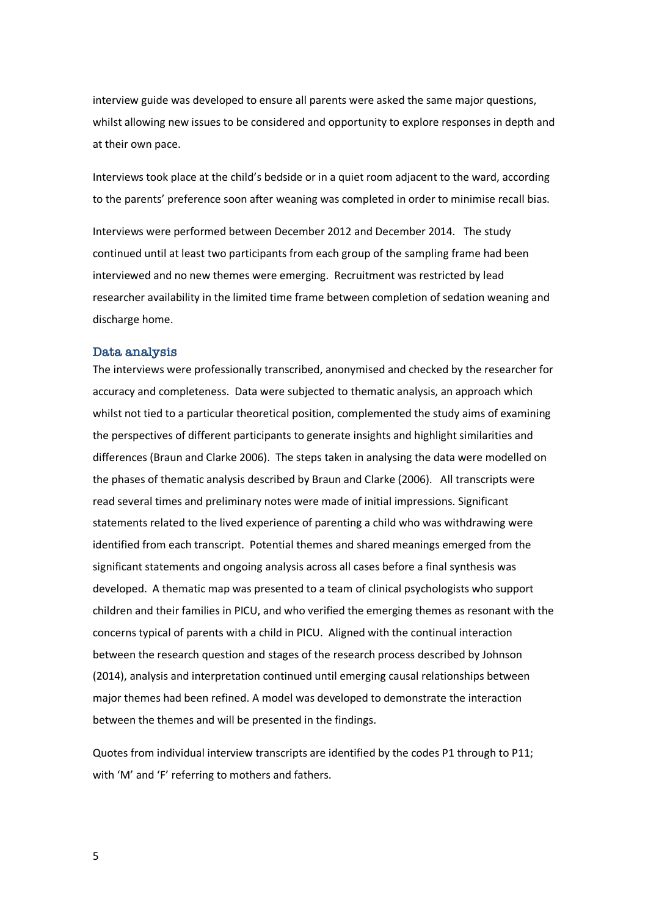interview guide was developed to ensure all parents were asked the same major questions, whilst allowing new issues to be considered and opportunity to explore responses in depth and at their own pace.

Interviews took place at the child's bedside or in a quiet room adjacent to the ward, according to the parents' preference soon after weaning was completed in order to minimise recall bias.

Interviews were performed between December 2012 and December 2014. The study continued until at least two participants from each group of the sampling frame had been interviewed and no new themes were emerging. Recruitment was restricted by lead researcher availability in the limited time frame between completion of sedation weaning and discharge home.

#### **Data analysis**

The interviews were professionally transcribed, anonymised and checked by the researcher for accuracy and completeness. Data were subjected to thematic analysis, an approach which whilst not tied to a particular theoretical position, complemented the study aims of examining the perspectives of different participants to generate insights and highlight similarities and differences (Braun and Clarke 2006). The steps taken in analysing the data were modelled on the phases of thematic analysis described by Braun and Clarke (2006). All transcripts were read several times and preliminary notes were made of initial impressions. Significant statements related to the lived experience of parenting a child who was withdrawing were identified from each transcript. Potential themes and shared meanings emerged from the significant statements and ongoing analysis across all cases before a final synthesis was developed. A thematic map was presented to a team of clinical psychologists who support children and their families in PICU, and who verified the emerging themes as resonant with the concerns typical of parents with a child in PICU. Aligned with the continual interaction between the research question and stages of the research process described by Johnson (2014), analysis and interpretation continued until emerging causal relationships between major themes had been refined. A model was developed to demonstrate the interaction between the themes and will be presented in the findings.

Quotes from individual interview transcripts are identified by the codes P1 through to P11; with 'M' and 'F' referring to mothers and fathers.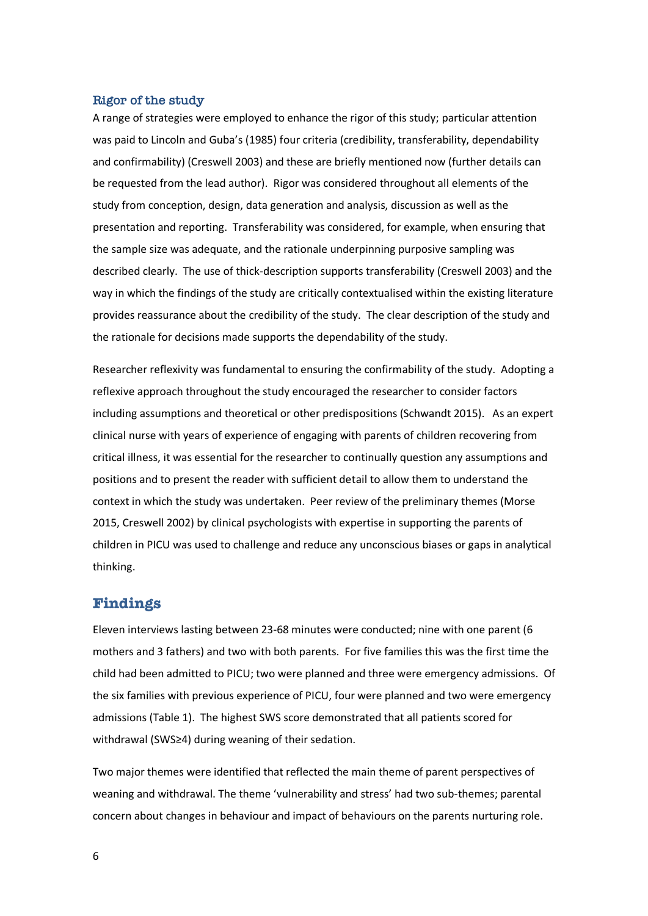#### **Rigor of the study**

A range of strategies were employed to enhance the rigor of this study; particular attention was paid to Lincoln and Guba's (1985) four criteria (credibility, transferability, dependability and confirmability) (Creswell 2003) and these are briefly mentioned now (further details can be requested from the lead author). Rigor was considered throughout all elements of the study from conception, design, data generation and analysis, discussion as well as the presentation and reporting. Transferability was considered, for example, when ensuring that the sample size was adequate, and the rationale underpinning purposive sampling was described clearly. The use of thick-description supports transferability (Creswell 2003) and the way in which the findings of the study are critically contextualised within the existing literature provides reassurance about the credibility of the study. The clear description of the study and the rationale for decisions made supports the dependability of the study.

Researcher reflexivity was fundamental to ensuring the confirmability of the study. Adopting a reflexive approach throughout the study encouraged the researcher to consider factors including assumptions and theoretical or other predispositions (Schwandt 2015). As an expert clinical nurse with years of experience of engaging with parents of children recovering from critical illness, it was essential for the researcher to continually question any assumptions and positions and to present the reader with sufficient detail to allow them to understand the context in which the study was undertaken. Peer review of the preliminary themes (Morse 2015, Creswell 2002) by clinical psychologists with expertise in supporting the parents of children in PICU was used to challenge and reduce any unconscious biases or gaps in analytical thinking.

#### **Findings**

Eleven interviews lasting between 23-68 minutes were conducted; nine with one parent (6 mothers and 3 fathers) and two with both parents. For five families this was the first time the child had been admitted to PICU; two were planned and three were emergency admissions. Of the six families with previous experience of PICU, four were planned and two were emergency admissions (Table 1). The highest SWS score demonstrated that all patients scored for withdrawal (SWS≥4) during weaning of their sedation.

Two major themes were identified that reflected the main theme of parent perspectives of weaning and withdrawal. The theme 'vulnerability and stress' had two sub-themes; parental concern about changes in behaviour and impact of behaviours on the parents nurturing role.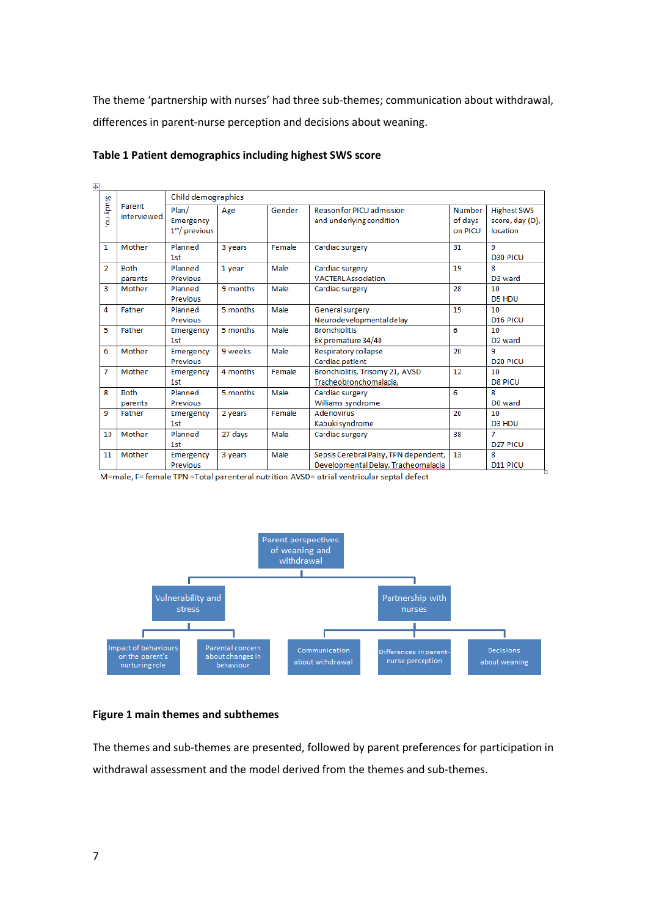The theme 'partnership with nurses' had three sub-themes; communication about withdrawal, differences in parent-nurse perception and decisions about weaning.

| $\ddot{\ddagger}$ |                        |                                                  |          |        |                                                                              |                              |                                                   |
|-------------------|------------------------|--------------------------------------------------|----------|--------|------------------------------------------------------------------------------|------------------------------|---------------------------------------------------|
| Studyno           | Parent<br>interviewed  | Child demographics                               |          |        |                                                                              |                              |                                                   |
|                   |                        | Plan/<br>Emergency<br>1 <sup>st</sup> / previous | Age      | Gender | Reason for PICU admission<br>and underlying condition                        | Number<br>of days<br>on PICU | <b>Highest SWS</b><br>score, day (D),<br>location |
| $\mathbf{1}$      | Mother                 | Planned<br>1st                                   | 3 years  | Female | Cardiac surgery                                                              | 31                           | 9<br><b>D30 PICU</b>                              |
| $\overline{2}$    | <b>Both</b><br>parents | Planned<br>Previous                              | 1 year   | Male   | Cardiac surgery<br><b>VACTERLAssociation</b>                                 | 19                           | 8.<br>D <sub>3</sub> ward                         |
| 3                 | Mother                 | Planned<br>Previous                              | 9 months | Male   | Cardiac surgery                                                              | 28                           | 10<br>D5 HDU                                      |
| 4                 | <b>Father</b>          | Planned<br>Previous                              | 5 months | Male   | <b>General surgery</b><br>Neurodevelopmental delay                           | 19                           | 10<br>D <sub>16</sub> PICU                        |
| 5                 | <b>Father</b>          | Emergency<br>1st                                 | 5 months | Male   | <b>Bronchiolitis</b><br>Ex premature 34/40                                   | 6                            | 10<br>D <sub>2</sub> ward                         |
| 6                 | Mother                 | Emergency<br>Previous                            | 9 weeks  | Male   | Respiratory collapse<br>Cardiac patient                                      | 20                           | 9<br>D <sub>20</sub> PICU                         |
| $\overline{7}$    | Mother                 | Emergency<br>1st                                 | 4 months | Female | Bronchiolitis, Trisomy 21, AVSD<br>Tracheobronchomalacia,                    | 12                           | 10<br><b>D8 PICU</b>                              |
| 8                 | <b>Both</b><br>parents | Planned<br>Previous                              | 5 months | Male   | Cardiac surgery<br>Williams syndrome                                         | 6                            | 8<br>D0 ward                                      |
| 9                 | Father                 | Emergency<br>1st                                 | 2 years  | Female | <b>Adenovirus</b><br>Kabuki syndrome                                         | 20                           | 10<br>D <sub>3</sub> H <sub>DU</sub>              |
| 10                | Mother                 | Planned<br>1st                                   | 27 days  | Male   | Cardiac surgery                                                              | 38                           | 7<br>D <sub>27</sub> PICU                         |
| 11                | Mother                 | Emergency<br><b>Previous</b>                     | 3 years  | Male   | Sepsis Cerebral Palsy, TPN dependent,<br>Developmental Delay, Tracheomalacia | 13                           | 8<br>D11 PICU                                     |

#### **Table 1 Patient demographics including highest SWS score**

M=male, F= female TPN =Total parenteral nutrition AVSD= atrial ventricular septal defect



#### **Figure 1 main themes and subthemes**

The themes and sub-themes are presented, followed by parent preferences for participation in withdrawal assessment and the model derived from the themes and sub-themes.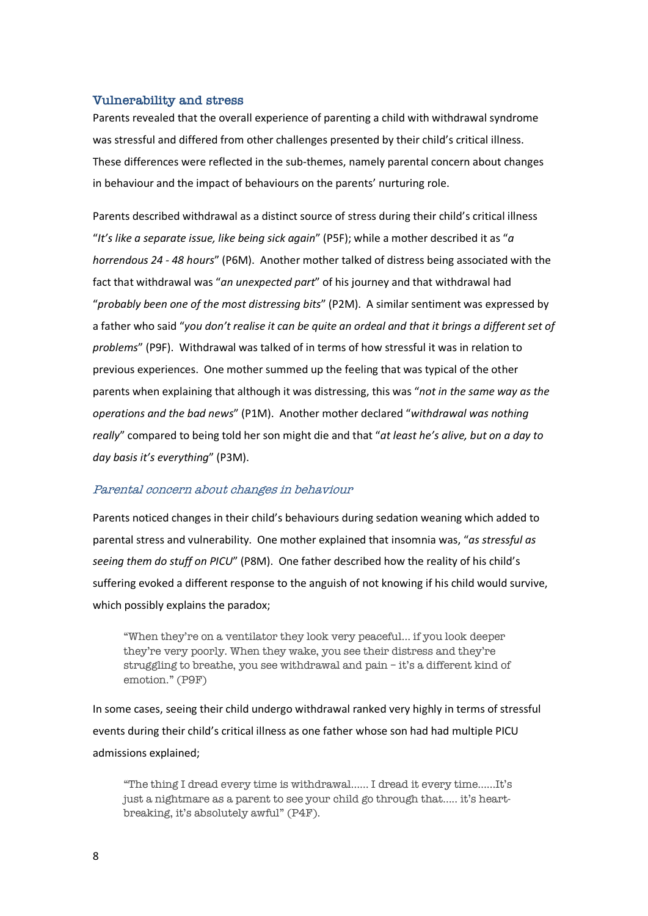#### **Vulnerability and stress**

Parents revealed that the overall experience of parenting a child with withdrawal syndrome was stressful and differed from other challenges presented by their child's critical illness. These differences were reflected in the sub-themes, namely parental concern about changes in behaviour and the impact of behaviours on the parents' nurturing role.

Parents described withdrawal as a distinct source of stress during their child's critical illness "*It's like a separate issue, like being sick again*" (P5F); while a mother described it as "*a horrendous 24 - 48 hours*" (P6M). Another mother talked of distress being associated with the fact that withdrawal was "*an unexpected part*" of his journey and that withdrawal had "*probably been one of the most distressing bits*" (P2M). A similar sentiment was expressed by a father who said "*you don't realise it can be quite an ordeal and that it brings a different set of problems*" (P9F). Withdrawal was talked of in terms of how stressful it was in relation to previous experiences. One mother summed up the feeling that was typical of the other parents when explaining that although it was distressing, this was "*not in the same way as the operations and the bad news*" (P1M). Another mother declared "*withdrawal was nothing really*" compared to being told her son might die and that "*at least he's alive, but on a day to day basis it's everything*" (P3M).

#### Parental concern about changes in behaviour

Parents noticed changes in their child's behaviours during sedation weaning which added to parental stress and vulnerability. One mother explained that insomnia was, "*as stressful as seeing them do stuff on PICU*" (P8M). One father described how the reality of his child's suffering evoked a different response to the anguish of not knowing if his child would survive, which possibly explains the paradox;

"When they're on a ventilator they look very peaceful… if you look deeper they're very poorly. When they wake, you see their distress and they're struggling to breathe, you see withdrawal and pain – it's a different kind of emotion." (P9F)

In some cases, seeing their child undergo withdrawal ranked very highly in terms of stressful events during their child's critical illness as one father whose son had had multiple PICU admissions explained;

"The thing I dread every time is withdrawal…… I dread it every time……It's just a nightmare as a parent to see your child go through that….. it's heartbreaking, it's absolutely awful" (P4F).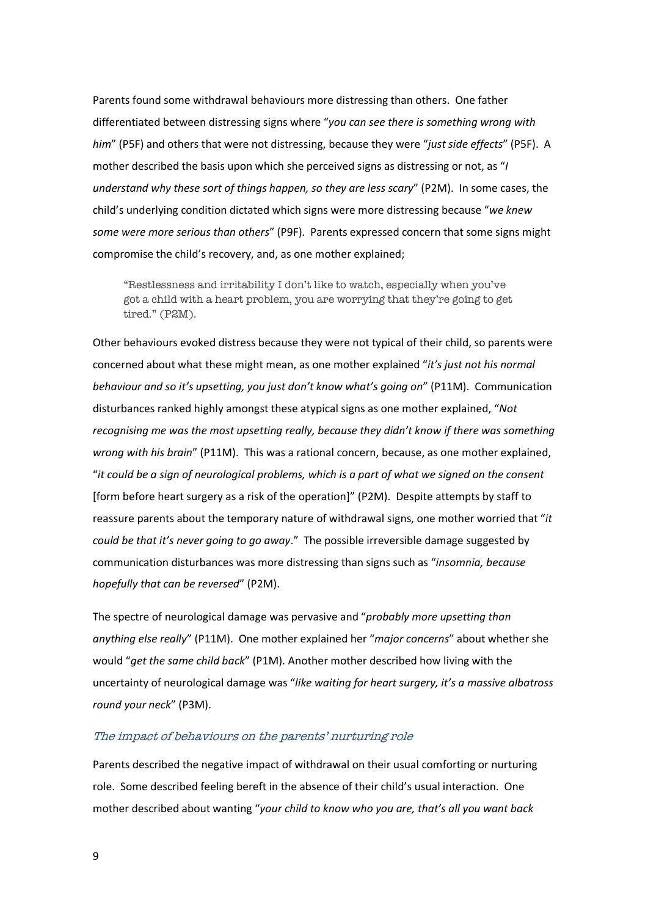Parents found some withdrawal behaviours more distressing than others. One father differentiated between distressing signs where "*you can see there is something wrong with him*" (P5F) and others that were not distressing, because they were "*just side effects*" (P5F). A mother described the basis upon which she perceived signs as distressing or not, as "*I understand why these sort of things happen, so they are less scary*" (P2M). In some cases, the child's underlying condition dictated which signs were more distressing because "*we knew some were more serious than others*" (P9F). Parents expressed concern that some signs might compromise the child's recovery, and, as one mother explained;

"Restlessness and irritability I don't like to watch, especially when you've got a child with a heart problem, you are worrying that they're going to get tired." (P2M).

Other behaviours evoked distress because they were not typical of their child, so parents were concerned about what these might mean, as one mother explained "*it's just not his normal behaviour and so it's upsetting, you just don't know what's going on*" (P11M). Communication disturbances ranked highly amongst these atypical signs as one mother explained, "*Not recognising me was the most upsetting really, because they didn't know if there was something wrong with his brain*" (P11M). This was a rational concern, because, as one mother explained, "*it could be a sign of neurological problems, which is a part of what we signed on the consent* [form before heart surgery as a risk of the operation]" (P2M). Despite attempts by staff to reassure parents about the temporary nature of withdrawal signs, one mother worried that "*it could be that it's never going to go away*."The possible irreversible damage suggested by communication disturbances was more distressing than signs such as "*insomnia, because hopefully that can be reversed*" (P2M).

The spectre of neurological damage was pervasive and "*probably more upsetting than anything else really*" (P11M). One mother explained her "*major concerns*" about whether she would "*get the same child back*" (P1M). Another mother described how living with the uncertainty of neurological damage was "*like waiting for heart surgery, it's a massive albatross round your neck*" (P3M).

#### The impact of behaviours on the parents' nurturing role

Parents described the negative impact of withdrawal on their usual comforting or nurturing role. Some described feeling bereft in the absence of their child's usual interaction. One mother described about wanting "*your child to know who you are, that's all you want back*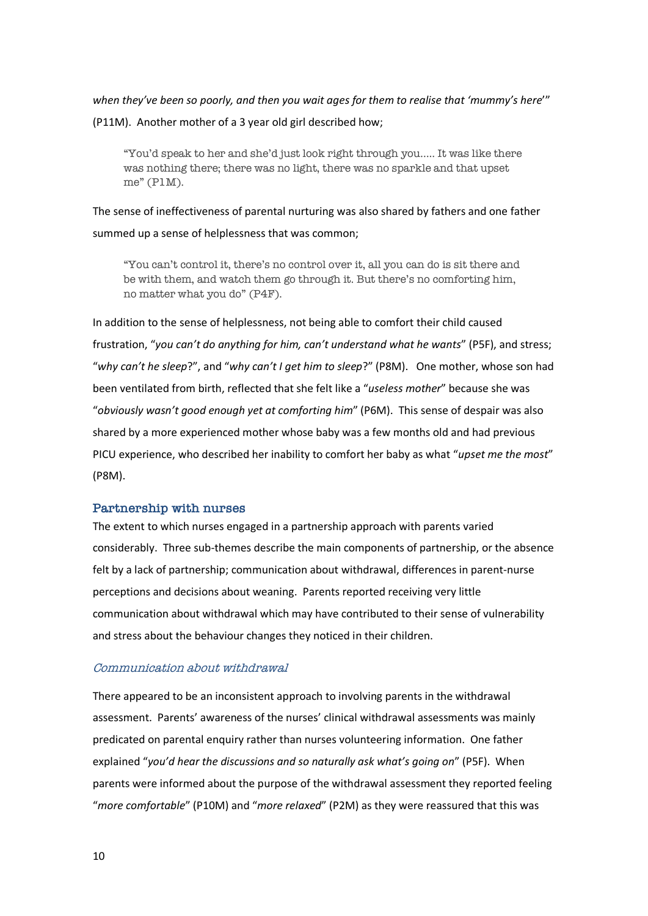*when they've been so poorly, and then you wait ages for them to realise that 'mummy's here*'"

(P11M). Another mother of a 3 year old girl described how;

"You'd speak to her and she'd just look right through you….. It was like there was nothing there; there was no light, there was no sparkle and that upset me" (P1M).

The sense of ineffectiveness of parental nurturing was also shared by fathers and one father summed up a sense of helplessness that was common;

"You can't control it, there's no control over it, all you can do is sit there and be with them, and watch them go through it. But there's no comforting him, no matter what you do" (P4F).

In addition to the sense of helplessness, not being able to comfort their child caused frustration, "*you can't do anything for him, can't understand what he wants*" (P5F), and stress; "*why can't he sleep*?", and "*why can't I get him to sleep*?" (P8M). One mother, whose son had been ventilated from birth, reflected that she felt like a "*useless mother*" because she was "*obviously wasn't good enough yet at comforting him*" (P6M). This sense of despair was also shared by a more experienced mother whose baby was a few months old and had previous PICU experience, who described her inability to comfort her baby as what "*upset me the most*" (P8M).

### **Partnership with nurses**

The extent to which nurses engaged in a partnership approach with parents varied considerably. Three sub-themes describe the main components of partnership, or the absence felt by a lack of partnership; communication about withdrawal, differences in parent-nurse perceptions and decisions about weaning. Parents reported receiving very little communication about withdrawal which may have contributed to their sense of vulnerability and stress about the behaviour changes they noticed in their children.

### Communication about withdrawal

There appeared to be an inconsistent approach to involving parents in the withdrawal assessment. Parents' awareness of the nurses' clinical withdrawal assessments was mainly predicated on parental enquiry rather than nurses volunteering information. One father explained "*you'd hear the discussions and so naturally ask what's going on*" (P5F). When parents were informed about the purpose of the withdrawal assessment they reported feeling "*more comfortable*" (P10M) and "*more relaxed*" (P2M) as they were reassured that this was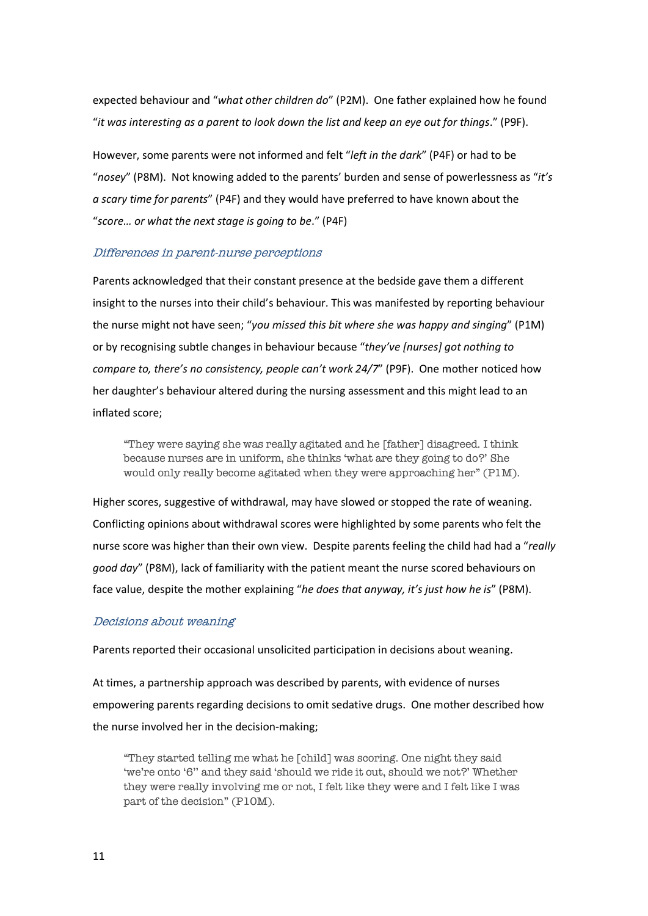expected behaviour and "*what other children do*" (P2M). One father explained how he found "*it was interesting as a parent to look down the list and keep an eye out for things*." (P9F).

However, some parents were not informed and felt "*left in the dark*" (P4F) or had to be "*nosey*" (P8M). Not knowing added to the parents' burden and sense of powerlessness as "*it's a scary time for parents*" (P4F) and they would have preferred to have known about the "*score… or what the next stage is going to be*." (P4F)

#### Differences in parent-nurse perceptions

Parents acknowledged that their constant presence at the bedside gave them a different insight to the nurses into their child's behaviour. This was manifested by reporting behaviour the nurse might not have seen; "*you missed this bit where she was happy and singing*" (P1M) or by recognising subtle changes in behaviour because "*they've [nurses] got nothing to compare to, there's no consistency, people can't work 24/7*" (P9F). One mother noticed how her daughter's behaviour altered during the nursing assessment and this might lead to an inflated score;

"They were saying she was really agitated and he [father] disagreed. I think because nurses are in uniform, she thinks 'what are they going to do?' She would only really become agitated when they were approaching her" (P1M).

Higher scores, suggestive of withdrawal, may have slowed or stopped the rate of weaning. Conflicting opinions about withdrawal scores were highlighted by some parents who felt the nurse score was higher than their own view. Despite parents feeling the child had had a "*really good day*" (P8M), lack of familiarity with the patient meant the nurse scored behaviours on face value, despite the mother explaining "*he does that anyway, it's just how he is*" (P8M).

#### Decisions about weaning

Parents reported their occasional unsolicited participation in decisions about weaning.

At times, a partnership approach was described by parents, with evidence of nurses empowering parents regarding decisions to omit sedative drugs. One mother described how the nurse involved her in the decision-making;

"They started telling me what he [child] was scoring. One night they said 'we're onto '6'' and they said 'should we ride it out, should we not?' Whether they were really involving me or not, I felt like they were and I felt like I was part of the decision" (P10M).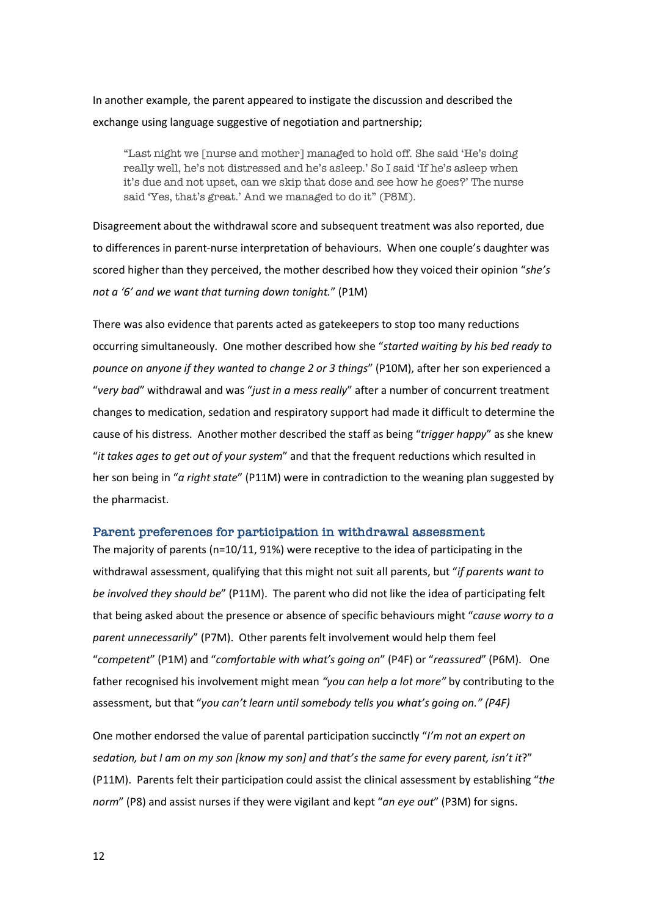In another example, the parent appeared to instigate the discussion and described the exchange using language suggestive of negotiation and partnership;

"Last night we [nurse and mother] managed to hold off. She said 'He's doing really well, he's not distressed and he's asleep.' So I said 'If he's asleep when it's due and not upset, can we skip that dose and see how he goes?' The nurse said 'Yes, that's great.' And we managed to do it" (P8M).

Disagreement about the withdrawal score and subsequent treatment was also reported, due to differences in parent-nurse interpretation of behaviours. When one couple's daughter was scored higher than they perceived, the mother described how they voiced their opinion "*she's not a '6' and we want that turning down tonight.*" (P1M)

There was also evidence that parents acted as gatekeepers to stop too many reductions occurring simultaneously. One mother described how she "*started waiting by his bed ready to pounce on anyone if they wanted to change 2 or 3 things*" (P10M), after her son experienced a "*very bad*" withdrawal and was "*just in a mess really*" after a number of concurrent treatment changes to medication, sedation and respiratory support had made it difficult to determine the cause of his distress. Another mother described the staff as being "*trigger happy*" as she knew "*it takes ages to get out of your system*" and that the frequent reductions which resulted in her son being in "*a right state*" (P11M) were in contradiction to the weaning plan suggested by the pharmacist.

#### **Parent preferences for participation in withdrawal assessment**

The majority of parents (n=10/11, 91%) were receptive to the idea of participating in the withdrawal assessment, qualifying that this might not suit all parents, but "*if parents want to be involved they should be*" (P11M). The parent who did not like the idea of participating felt that being asked about the presence or absence of specific behaviours might "*cause worry to a parent unnecessarily*" (P7M). Other parents felt involvement would help them feel "*competent*" (P1M) and "*comfortable with what's going on*" (P4F) or "*reassured*" (P6M). One father recognised his involvement might mean *"you can help a lot more"* by contributing to the assessment, but that "*you can't learn until somebody tells you what's going on." (P4F)*

One mother endorsed the value of parental participation succinctly "*I'm not an expert on sedation, but I am on my son [know my son] and that's the same for every parent, isn't it*?" (P11M). Parents felt their participation could assist the clinical assessment by establishing "*the norm*" (P8) and assist nurses if they were vigilant and kept "*an eye out*" (P3M) for signs.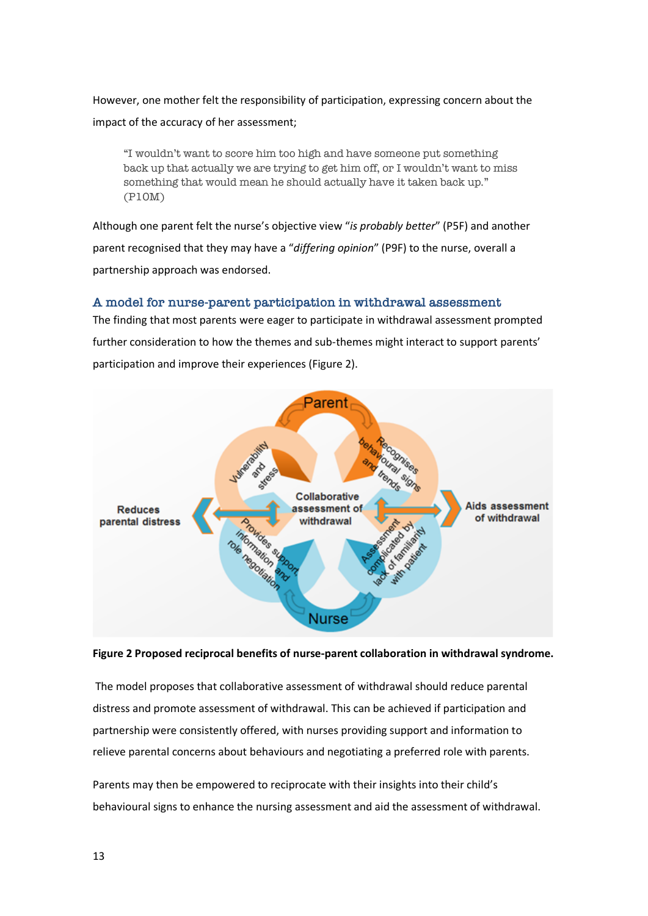However, one mother felt the responsibility of participation, expressing concern about the impact of the accuracy of her assessment;

"I wouldn't want to score him too high and have someone put something back up that actually we are trying to get him off, or I wouldn't want to miss something that would mean he should actually have it taken back up." (P10M)

Although one parent felt the nurse's objective view "*is probably better*" (P5F) and another parent recognised that they may have a "*differing opinion*" (P9F) to the nurse, overall a partnership approach was endorsed.

### **A model for nurse-parent participation in withdrawal assessment**

The finding that most parents were eager to participate in withdrawal assessment prompted further consideration to how the themes and sub-themes might interact to support parents' participation and improve their experiences (Figure 2).



#### **Figure 2 Proposed reciprocal benefits of nurse-parent collaboration in withdrawal syndrome.**

The model proposes that collaborative assessment of withdrawal should reduce parental distress and promote assessment of withdrawal. This can be achieved if participation and partnership were consistently offered, with nurses providing support and information to relieve parental concerns about behaviours and negotiating a preferred role with parents.

Parents may then be empowered to reciprocate with their insights into their child's behavioural signs to enhance the nursing assessment and aid the assessment of withdrawal.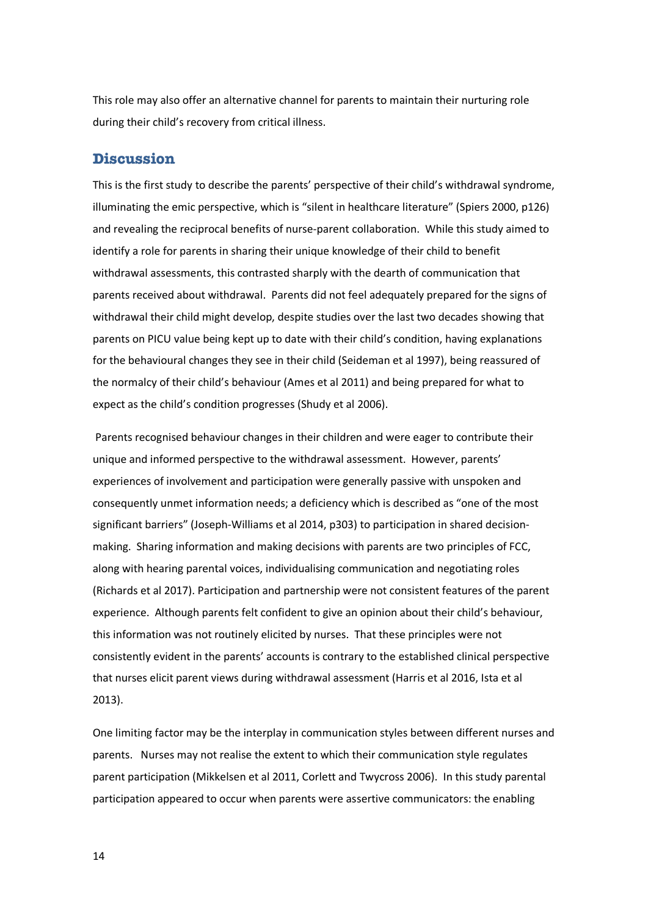This role may also offer an alternative channel for parents to maintain their nurturing role during their child's recovery from critical illness.

# **Discussion**

This is the first study to describe the parents' perspective of their child's withdrawal syndrome, illuminating the emic perspective, which is "silent in healthcare literature" (Spiers 2000, p126) and revealing the reciprocal benefits of nurse-parent collaboration. While this study aimed to identify a role for parents in sharing their unique knowledge of their child to benefit withdrawal assessments, this contrasted sharply with the dearth of communication that parents received about withdrawal. Parents did not feel adequately prepared for the signs of withdrawal their child might develop, despite studies over the last two decades showing that parents on PICU value being kept up to date with their child's condition, having explanations for the behavioural changes they see in their child (Seideman et al 1997), being reassured of the normalcy of their child's behaviour (Ames et al 2011) and being prepared for what to expect as the child's condition progresses (Shudy et al 2006).

Parents recognised behaviour changes in their children and were eager to contribute their unique and informed perspective to the withdrawal assessment. However, parents' experiences of involvement and participation were generally passive with unspoken and consequently unmet information needs; a deficiency which is described as "one of the most significant barriers" (Joseph-Williams et al 2014, p303) to participation in shared decisionmaking. Sharing information and making decisions with parents are two principles of FCC, along with hearing parental voices, individualising communication and negotiating roles (Richards et al 2017). Participation and partnership were not consistent features of the parent experience. Although parents felt confident to give an opinion about their child's behaviour, this information was not routinely elicited by nurses. That these principles were not consistently evident in the parents' accounts is contrary to the established clinical perspective that nurses elicit parent views during withdrawal assessment (Harris et al 2016, Ista et al 2013).

One limiting factor may be the interplay in communication styles between different nurses and parents. Nurses may not realise the extent to which their communication style regulates parent participation (Mikkelsen et al 2011, Corlett and Twycross 2006). In this study parental participation appeared to occur when parents were assertive communicators: the enabling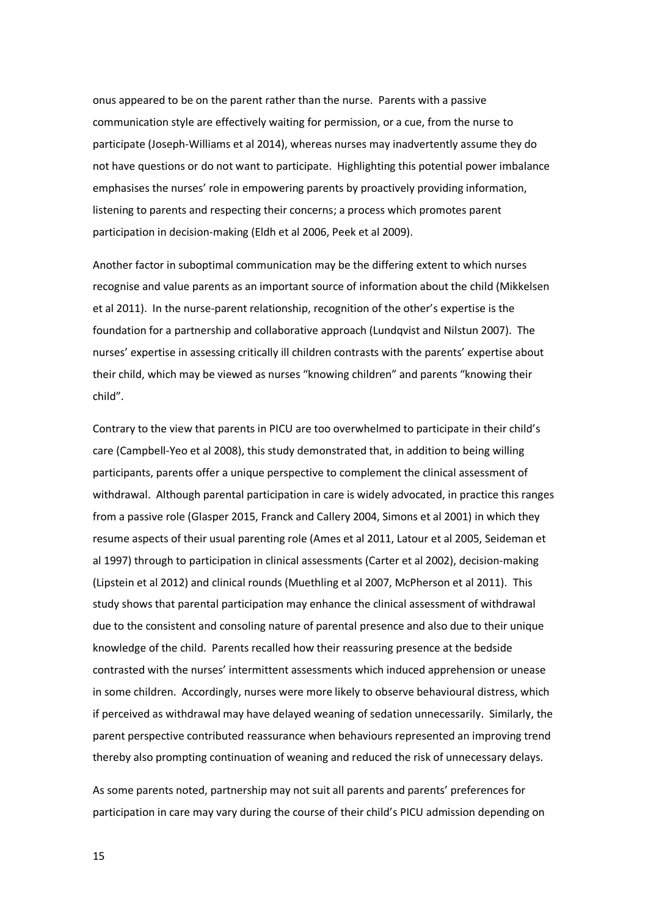onus appeared to be on the parent rather than the nurse. Parents with a passive communication style are effectively waiting for permission, or a cue, from the nurse to participate (Joseph-Williams et al 2014), whereas nurses may inadvertently assume they do not have questions or do not want to participate. Highlighting this potential power imbalance emphasises the nurses' role in empowering parents by proactively providing information, listening to parents and respecting their concerns; a process which promotes parent participation in decision-making (Eldh et al 2006, Peek et al 2009).

Another factor in suboptimal communication may be the differing extent to which nurses recognise and value parents as an important source of information about the child (Mikkelsen et al 2011). In the nurse-parent relationship, recognition of the other's expertise is the foundation for a partnership and collaborative approach (Lundqvist and Nilstun 2007). The nurses' expertise in assessing critically ill children contrasts with the parents' expertise about their child, which may be viewed as nurses "knowing children" and parents "knowing their child".

Contrary to the view that parents in PICU are too overwhelmed to participate in their child's care (Campbell-Yeo et al 2008), this study demonstrated that, in addition to being willing participants, parents offer a unique perspective to complement the clinical assessment of withdrawal. Although parental participation in care is widely advocated, in practice this ranges from a passive role (Glasper 2015, Franck and Callery 2004, Simons et al 2001) in which they resume aspects of their usual parenting role (Ames et al 2011, Latour et al 2005, Seideman et al 1997) through to participation in clinical assessments (Carter et al 2002), decision-making (Lipstein et al 2012) and clinical rounds (Muethling et al 2007, McPherson et al 2011). This study shows that parental participation may enhance the clinical assessment of withdrawal due to the consistent and consoling nature of parental presence and also due to their unique knowledge of the child. Parents recalled how their reassuring presence at the bedside contrasted with the nurses' intermittent assessments which induced apprehension or unease in some children. Accordingly, nurses were more likely to observe behavioural distress, which if perceived as withdrawal may have delayed weaning of sedation unnecessarily. Similarly, the parent perspective contributed reassurance when behaviours represented an improving trend thereby also prompting continuation of weaning and reduced the risk of unnecessary delays.

As some parents noted, partnership may not suit all parents and parents' preferences for participation in care may vary during the course of their child's PICU admission depending on

15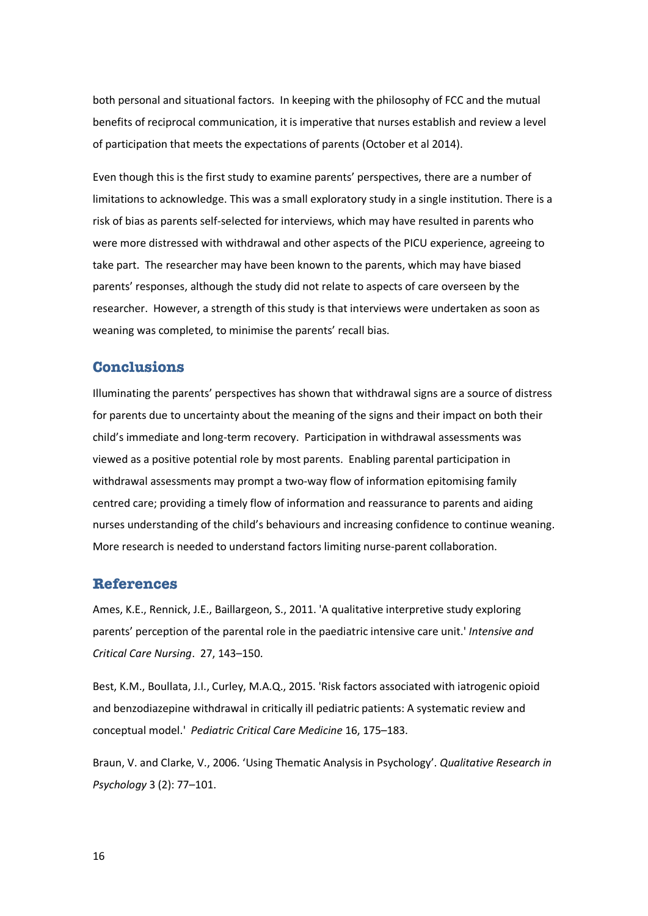both personal and situational factors. In keeping with the philosophy of FCC and the mutual benefits of reciprocal communication, it is imperative that nurses establish and review a level of participation that meets the expectations of parents (October et al 2014).

Even though this is the first study to examine parents' perspectives, there are a number of limitations to acknowledge. This was a small exploratory study in a single institution. There is a risk of bias as parents self-selected for interviews, which may have resulted in parents who were more distressed with withdrawal and other aspects of the PICU experience, agreeing to take part. The researcher may have been known to the parents, which may have biased parents' responses, although the study did not relate to aspects of care overseen by the researcher. However, a strength of this study is that interviews were undertaken as soon as weaning was completed, to minimise the parents' recall bias.

# **Conclusions**

Illuminating the parents' perspectives has shown that withdrawal signs are a source of distress for parents due to uncertainty about the meaning of the signs and their impact on both their child's immediate and long-term recovery. Participation in withdrawal assessments was viewed as a positive potential role by most parents. Enabling parental participation in withdrawal assessments may prompt a two-way flow of information epitomising family centred care; providing a timely flow of information and reassurance to parents and aiding nurses understanding of the child's behaviours and increasing confidence to continue weaning. More research is needed to understand factors limiting nurse-parent collaboration.

#### **References**

Ames, K.E., Rennick, J.E., Baillargeon, S., 2011. 'A qualitative interpretive study exploring parents' perception of the parental role in the paediatric intensive care unit.' *Intensive and Critical Care Nursing*. 27, 143–150.

Best, K.M., Boullata, J.I., Curley, M.A.Q., 2015. 'Risk factors associated with iatrogenic opioid and benzodiazepine withdrawal in critically ill pediatric patients: A systematic review and conceptual model.' *Pediatric Critical Care Medicine* 16, 175–183.

Braun, V. and Clarke, V., 2006. 'Using Thematic Analysis in Psychology'. *Qualitative Research in Psychology* 3 (2): 77–101.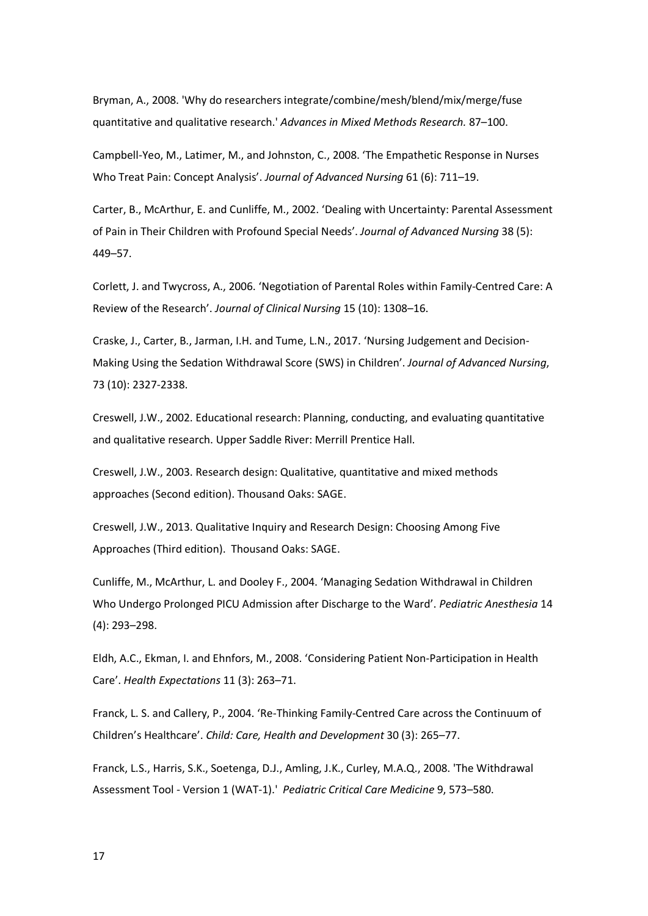Bryman, A., 2008. 'Why do researchers integrate/combine/mesh/blend/mix/merge/fuse quantitative and qualitative research.' *Advances in Mixed Methods Research.* 87–100.

Campbell-Yeo, M., Latimer, M., and Johnston, C., 2008. 'The Empathetic Response in Nurses Who Treat Pain: Concept Analysis'. *Journal of Advanced Nursing* 61 (6): 711–19.

Carter, B., McArthur, E. and Cunliffe, M., 2002. 'Dealing with Uncertainty: Parental Assessment of Pain in Their Children with Profound Special Needs'. *Journal of Advanced Nursing* 38 (5): 449–57.

Corlett, J. and Twycross, A., 2006. 'Negotiation of Parental Roles within Family-Centred Care: A Review of the Research'. *Journal of Clinical Nursing* 15 (10): 1308–16.

Craske, J., Carter, B., Jarman, I.H. and Tume, L.N., 2017. 'Nursing Judgement and Decision-Making Using the Sedation Withdrawal Score (SWS) in Children'. *Journal of Advanced Nursing*, 73 (10): 2327-2338.

Creswell, J.W., 2002. Educational research: Planning, conducting, and evaluating quantitative and qualitative research. Upper Saddle River: Merrill Prentice Hall.

Creswell, J.W., 2003. Research design: Qualitative, quantitative and mixed methods approaches (Second edition). Thousand Oaks: SAGE.

Creswell, J.W., 2013. Qualitative Inquiry and Research Design: Choosing Among Five Approaches (Third edition). Thousand Oaks: SAGE.

Cunliffe, M., McArthur, L. and Dooley F., 2004. 'Managing Sedation Withdrawal in Children Who Undergo Prolonged PICU Admission after Discharge to the Ward'. *Pediatric Anesthesia* 14 (4): 293–298.

Eldh, A.C., Ekman, I. and Ehnfors, M., 2008. 'Considering Patient Non-Participation in Health Care'. *Health Expectations* 11 (3): 263–71.

Franck, L. S. and Callery, P., 2004. 'Re-Thinking Family-Centred Care across the Continuum of Children's Healthcare'. *Child: Care, Health and Development* 30 (3): 265–77.

Franck, L.S., Harris, S.K., Soetenga, D.J., Amling, J.K., Curley, M.A.Q., 2008. 'The Withdrawal Assessment Tool - Version 1 (WAT-1).' *Pediatric Critical Care Medicine* 9, 573–580.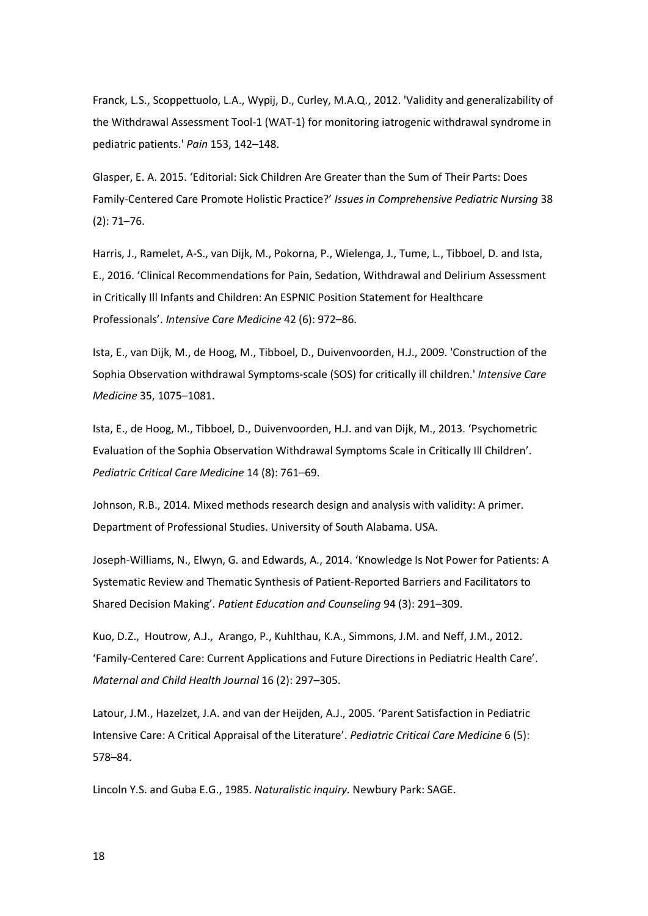Franck, L.S., Scoppettuolo, L.A., Wypij, D., Curley, M.A.Q., 2012. 'Validity and generalizability of the Withdrawal Assessment Tool-1 (WAT-1) for monitoring iatrogenic withdrawal syndrome in pediatric patients.' *Pain* 153, 142–148.

Glasper, E. A. 2015. 'Editorial: Sick Children Are Greater than the Sum of Their Parts: Does Family-Centered Care Promote Holistic Practice?' *Issues in Comprehensive Pediatric Nursing* 38 (2): 71–76.

Harris, J., Ramelet, A-S., van Dijk, M., Pokorna, P., Wielenga, J., Tume, L., Tibboel, D. and Ista, E., 2016. 'Clinical Recommendations for Pain, Sedation, Withdrawal and Delirium Assessment in Critically Ill Infants and Children: An ESPNIC Position Statement for Healthcare Professionals'. *Intensive Care Medicine* 42 (6): 972–86.

Ista, E., van Dijk, M., de Hoog, M., Tibboel, D., Duivenvoorden, H.J., 2009. 'Construction of the Sophia Observation withdrawal Symptoms-scale (SOS) for critically ill children.' *Intensive Care Medicine* 35, 1075–1081.

Ista, E., de Hoog, M., Tibboel, D., Duivenvoorden, H.J. and van Dijk, M., 2013. 'Psychometric Evaluation of the Sophia Observation Withdrawal Symptoms Scale in Critically Ill Children'. *Pediatric Critical Care Medicine* 14 (8): 761–69.

Johnson, R.B., 2014. Mixed methods research design and analysis with validity: A primer. Department of Professional Studies. University of South Alabama. USA.

Joseph-Williams, N., Elwyn, G. and Edwards, A., 2014. 'Knowledge Is Not Power for Patients: A Systematic Review and Thematic Synthesis of Patient-Reported Barriers and Facilitators to Shared Decision Making'. *Patient Education and Counseling* 94 (3): 291–309.

Kuo, D.Z., Houtrow, A.J., Arango, P., Kuhlthau, K.A., Simmons, J.M. and Neff, J.M., 2012. 'Family-Centered Care: Current Applications and Future Directions in Pediatric Health Care'. *Maternal and Child Health Journal* 16 (2): 297–305.

Latour, J.M., Hazelzet, J.A. and van der Heijden, A.J., 2005. 'Parent Satisfaction in Pediatric Intensive Care: A Critical Appraisal of the Literature'. *Pediatric Critical Care Medicine* 6 (5): 578–84.

Lincoln Y.S. and Guba E.G., 1985. *Naturalistic inquiry.* Newbury Park: SAGE.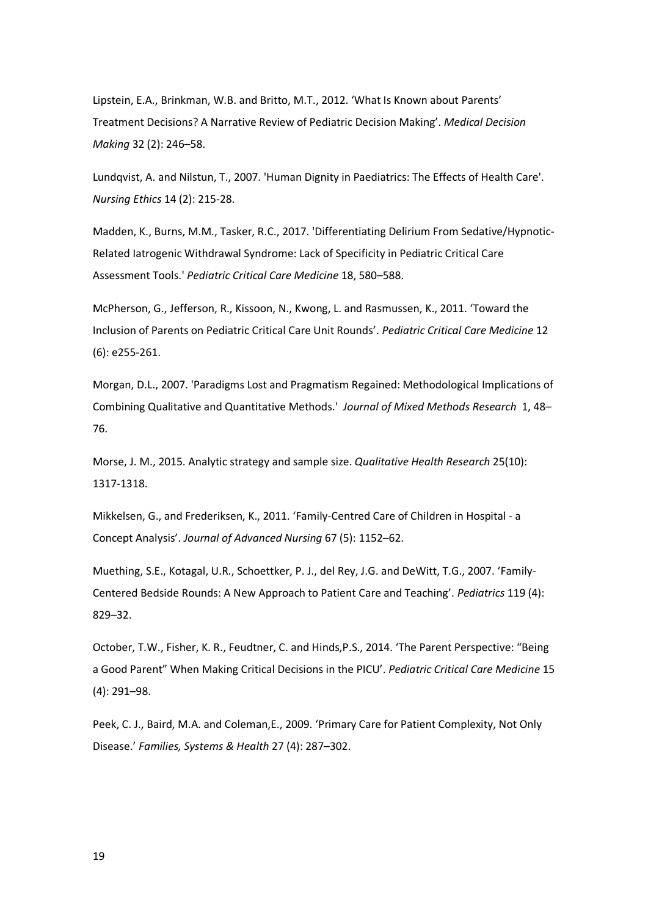Lipstein, E.A., Brinkman, W.B. and Britto, M.T., 2012. 'What Is Known about Parents' Treatment Decisions? A Narrative Review of Pediatric Decision Making'. *Medical Decision Making* 32 (2): 246–58.

Lundqvist, A. and Nilstun, T., 2007. 'Human Dignity in Paediatrics: The Effects of Health Care'. *Nursing Ethics* 14 (2): 215-28.

Madden, K., Burns, M.M., Tasker, R.C., 2017. 'Differentiating Delirium From Sedative/Hypnotic-Related Iatrogenic Withdrawal Syndrome: Lack of Specificity in Pediatric Critical Care Assessment Tools.' *Pediatric Critical Care Medicine* 18, 580–588.

McPherson, G., Jefferson, R., Kissoon, N., Kwong, L. and Rasmussen, K., 2011. 'Toward the Inclusion of Parents on Pediatric Critical Care Unit Rounds'. *Pediatric Critical Care Medicine* 12 (6): e255-261.

Morgan, D.L., 2007. 'Paradigms Lost and Pragmatism Regained: Methodological Implications of Combining Qualitative and Quantitative Methods.' *Journal of Mixed Methods Research* 1, 48– 76.

Morse, J. M., 2015. Analytic strategy and sample size. *Qualitative Health Research* 25(10): 1317-1318.

Mikkelsen, G., and Frederiksen, K., 2011. 'Family-Centred Care of Children in Hospital - a Concept Analysis'. *Journal of Advanced Nursing* 67 (5): 1152–62.

Muething, S.E., Kotagal, U.R., Schoettker, P. J., del Rey, J.G. and DeWitt, T.G., 2007. 'Family-Centered Bedside Rounds: A New Approach to Patient Care and Teaching'. *Pediatrics* 119 (4): 829–32.

October, T.W., Fisher, K. R., Feudtner, C. and Hinds,P.S., 2014. 'The Parent Perspective: "Being a Good Parent" When Making Critical Decisions in the PICU'. *Pediatric Critical Care Medicine* 15 (4): 291–98.

Peek, C. J., Baird, M.A. and Coleman,E., 2009. 'Primary Care for Patient Complexity, Not Only Disease.' *Families, Systems & Health* 27 (4): 287–302.